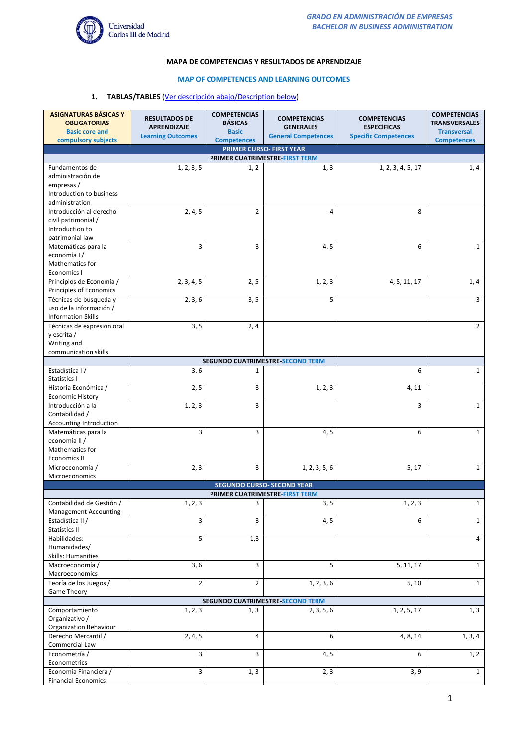

## **MAPA DE COMPETENCIAS Y RESULTADOS DE APRENDIZAJE**

## **MAP OF COMPETENCES AND LEARNING OUTCOMES**

## **1. TABLAS/TABLES** (Ver descripción abajo/Description below)

| <b>ASIGNATURAS BÁSICAS Y</b><br><b>OBLIGATORIAS</b>                                                 | <b>RESULTADOS DE</b>                           | <b>COMPETENCIAS</b><br><b>BÁSICAS</b> | <b>COMPETENCIAS</b>                            | <b>COMPETENCIAS</b>                               | <b>COMPETENCIAS</b><br><b>TRANSVERSALES</b> |  |
|-----------------------------------------------------------------------------------------------------|------------------------------------------------|---------------------------------------|------------------------------------------------|---------------------------------------------------|---------------------------------------------|--|
| <b>Basic core and</b>                                                                               | <b>APRENDIZAJE</b><br><b>Learning Outcomes</b> | <b>Basic</b>                          | <b>GENERALES</b><br><b>General Competences</b> | <b>ESPECÍFICAS</b><br><b>Specific Competences</b> | <b>Transversal</b>                          |  |
| compulsory subjects                                                                                 |                                                | <b>Competences</b>                    |                                                |                                                   | <b>Competences</b>                          |  |
|                                                                                                     |                                                |                                       | PRIMER CURSO- FIRST YEAR                       |                                                   |                                             |  |
| Fundamentos de                                                                                      | 1, 2, 3, 5                                     | 1, 2                                  | PRIMER CUATRIMESTRE-FIRST TERM<br>1, 3         | 1, 2, 3, 4, 5, 17                                 | 1, 4                                        |  |
| administración de                                                                                   |                                                |                                       |                                                |                                                   |                                             |  |
| empresas /                                                                                          |                                                |                                       |                                                |                                                   |                                             |  |
| Introduction to business                                                                            |                                                |                                       |                                                |                                                   |                                             |  |
| administration<br>Introducción al derecho                                                           |                                                | $\overline{2}$                        | 4                                              | 8                                                 |                                             |  |
| civil patrimonial /                                                                                 | 2, 4, 5                                        |                                       |                                                |                                                   |                                             |  |
| Introduction to                                                                                     |                                                |                                       |                                                |                                                   |                                             |  |
| patrimonial law                                                                                     |                                                |                                       |                                                |                                                   |                                             |  |
| Matemáticas para la                                                                                 | 3                                              | 3                                     | 4, 5                                           | 6                                                 | $\mathbf{1}$                                |  |
| economía I/                                                                                         |                                                |                                       |                                                |                                                   |                                             |  |
| <b>Mathematics for</b><br>Economics I                                                               |                                                |                                       |                                                |                                                   |                                             |  |
| Principios de Economía /                                                                            | 2, 3, 4, 5                                     | 2, 5                                  | 1, 2, 3                                        | 4, 5, 11, 17                                      | 1,4                                         |  |
| Principles of Economics                                                                             |                                                |                                       |                                                |                                                   |                                             |  |
| Técnicas de búsqueda y                                                                              | 2, 3, 6                                        | 3, 5                                  | 5                                              |                                                   | 3                                           |  |
| uso de la información /                                                                             |                                                |                                       |                                                |                                                   |                                             |  |
| <b>Information Skills</b>                                                                           |                                                |                                       |                                                |                                                   | $\overline{2}$                              |  |
| Técnicas de expresión oral<br>y escrita /                                                           | 3, 5                                           | 2,4                                   |                                                |                                                   |                                             |  |
| Writing and                                                                                         |                                                |                                       |                                                |                                                   |                                             |  |
| communication skills                                                                                |                                                |                                       |                                                |                                                   |                                             |  |
|                                                                                                     |                                                |                                       | <b>SEGUNDO CUATRIMESTRE SECOND TERM</b>        |                                                   |                                             |  |
| Estadística I/                                                                                      | 3, 6                                           | 1                                     |                                                | 6                                                 | $\mathbf{1}$                                |  |
| Statistics I<br>Historia Económica /                                                                | $\overline{2}$ , 5                             | 3                                     | 1, 2, 3                                        | 4, 11                                             |                                             |  |
| <b>Economic History</b>                                                                             |                                                |                                       |                                                |                                                   |                                             |  |
| Introducción a la                                                                                   | 1, 2, 3                                        | 3                                     |                                                | 3                                                 | $\mathbf{1}$                                |  |
| Contabilidad /                                                                                      |                                                |                                       |                                                |                                                   |                                             |  |
| Accounting Introduction                                                                             |                                                |                                       |                                                |                                                   |                                             |  |
| Matemáticas para la<br>economía II /                                                                | 3                                              | 3                                     | 4, 5                                           | 6                                                 | $\mathbf{1}$                                |  |
| Mathematics for                                                                                     |                                                |                                       |                                                |                                                   |                                             |  |
| <b>Economics II</b>                                                                                 |                                                |                                       |                                                |                                                   |                                             |  |
| Microeconomía /                                                                                     | 2, 3                                           | 3                                     | 1, 2, 3, 5, 6                                  | 5, 17                                             | $\mathbf{1}$                                |  |
| Microeconomics                                                                                      |                                                |                                       |                                                |                                                   |                                             |  |
|                                                                                                     |                                                |                                       | <b>SEGUNDO CURSO- SECOND YEAR</b>              |                                                   |                                             |  |
| PRIMER CUATRIMESTRE-FIRST TERM<br>Contabilidad de Gestión /<br>1, 2, 3<br>3<br>3, 5<br>1, 2, 3<br>1 |                                                |                                       |                                                |                                                   |                                             |  |
| Management Accounting                                                                               |                                                |                                       |                                                |                                                   |                                             |  |
| Estadística II /                                                                                    | 3                                              | 3                                     | 4, 5                                           | 6                                                 | $\mathbf{1}$                                |  |
| Statistics II                                                                                       |                                                |                                       |                                                |                                                   |                                             |  |
| Habilidades:                                                                                        | 5                                              | 1,3                                   |                                                |                                                   | 4                                           |  |
| Humanidades/                                                                                        |                                                |                                       |                                                |                                                   |                                             |  |
| Skills: Humanities<br>Macroeconomía /                                                               | 3, 6                                           | 3                                     | 5                                              | 5, 11, 17                                         | $\mathbf{1}$                                |  |
| Macroeconomics                                                                                      |                                                |                                       |                                                |                                                   |                                             |  |
| Teoría de los Juegos /                                                                              | $\overline{2}$                                 | $\overline{2}$                        | 1, 2, 3, 6                                     | 5, 10                                             | $\mathbf{1}$                                |  |
| <b>Game Theory</b>                                                                                  |                                                |                                       |                                                |                                                   |                                             |  |
|                                                                                                     |                                                |                                       | SEGUNDO CUATRIMESTRE SECOND TERM               |                                                   |                                             |  |
| Comportamiento<br>Organizativo /                                                                    | 1, 2, 3                                        | 1, 3                                  | 2, 3, 5, 6                                     | 1, 2, 5, 17                                       | 1, 3                                        |  |
| Organization Behaviour                                                                              |                                                |                                       |                                                |                                                   |                                             |  |
| Derecho Mercantil /                                                                                 | 2, 4, 5                                        | 4                                     | 6                                              | 4, 8, 14                                          | 1, 3, 4                                     |  |
| Commercial Law                                                                                      |                                                |                                       |                                                |                                                   |                                             |  |
| Econometría /                                                                                       | 3                                              | 3                                     | 4, 5                                           | 6                                                 | 1, 2                                        |  |
| Econometrics                                                                                        |                                                |                                       |                                                |                                                   |                                             |  |
| Economía Financiera /<br><b>Financial Economics</b>                                                 | 3                                              | 1, 3                                  | 2, 3                                           | 3, 9                                              | $\mathbf{1}$                                |  |
|                                                                                                     |                                                |                                       |                                                |                                                   |                                             |  |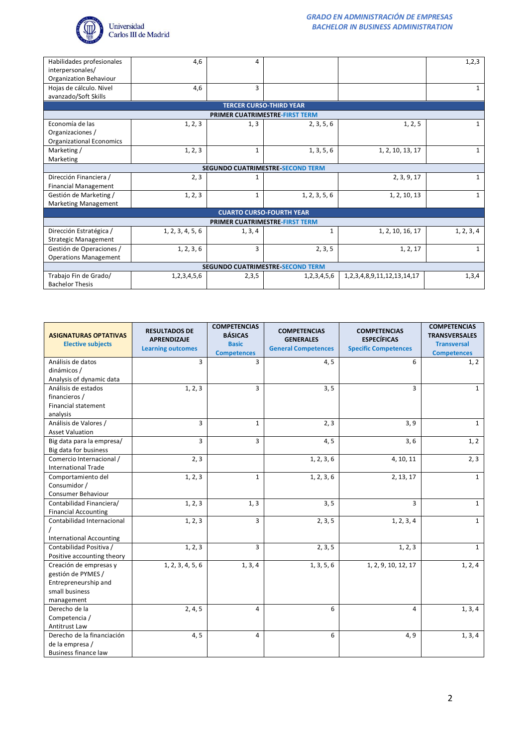

| Habilidades profesionales               | 4,6                                     | 4            |                                |                                      | 1,2,3        |  |  |
|-----------------------------------------|-----------------------------------------|--------------|--------------------------------|--------------------------------------|--------------|--|--|
| interpersonales/                        |                                         |              |                                |                                      |              |  |  |
| Organization Behaviour                  |                                         |              |                                |                                      |              |  |  |
| Hojas de cálculo. Nivel                 | 4,6                                     | 3            |                                |                                      | 1            |  |  |
| avanzado/Soft Skills                    |                                         |              |                                |                                      |              |  |  |
|                                         |                                         |              | <b>TERCER CURSO-THIRD YEAR</b> |                                      |              |  |  |
|                                         |                                         |              | PRIMER CUATRIMESTRE-FIRST TERM |                                      |              |  |  |
| Economía de las                         | 1, 2, 3                                 | 1, 3         | 2, 3, 5, 6                     | 1, 2, 5                              | $\mathbf{1}$ |  |  |
| Organizaciones /                        |                                         |              |                                |                                      |              |  |  |
| <b>Organizational Economics</b>         |                                         |              |                                |                                      |              |  |  |
| Marketing /                             | 1, 2, 3                                 | $\mathbf{1}$ | 1, 3, 5, 6                     | 1, 2, 10, 13, 17                     | 1            |  |  |
| Marketing                               |                                         |              |                                |                                      |              |  |  |
|                                         | <b>SEGUNDO CUATRIMESTRE SECOND TERM</b> |              |                                |                                      |              |  |  |
| Dirección Financiera /                  | 2, 3                                    | 1            |                                | 2, 3, 9, 17                          | $\mathbf{1}$ |  |  |
| <b>Financial Management</b>             |                                         |              |                                |                                      |              |  |  |
| Gestión de Marketing /                  | 1, 2, 3                                 | $\mathbf{1}$ | 1, 2, 3, 5, 6                  | 1, 2, 10, 13                         | $\mathbf{1}$ |  |  |
| <b>Marketing Management</b>             |                                         |              |                                |                                      |              |  |  |
| <b>CUARTO CURSO-FOURTH YEAR</b>         |                                         |              |                                |                                      |              |  |  |
| PRIMER CUATRIMESTRE-FIRST TERM          |                                         |              |                                |                                      |              |  |  |
| Dirección Estratégica /                 | 1, 2, 3, 4, 5, 6                        | 1, 3, 4      | $\mathbf{1}$                   | 1, 2, 10, 16, 17                     | 1, 2, 3, 4   |  |  |
| <b>Strategic Management</b>             |                                         |              |                                |                                      |              |  |  |
| Gestión de Operaciones /                | 1, 2, 3, 6                              | 3            | 2, 3, 5                        | 1, 2, 17                             | $\mathbf{1}$ |  |  |
| <b>Operations Management</b>            |                                         |              |                                |                                      |              |  |  |
| <b>SEGUNDO CUATRIMESTRE SECOND TERM</b> |                                         |              |                                |                                      |              |  |  |
| Trabajo Fin de Grado/                   | 1,2,3,4,5,6                             | 2,3,5        | 1,2,3,4,5,6                    | 1, 2, 3, 4, 8, 9, 11, 12, 13, 14, 17 | 1,3,4        |  |  |
| <b>Bachelor Thesis</b>                  |                                         |              |                                |                                      |              |  |  |

| <b>ASIGNATURAS OPTATIVAS</b><br><b>Elective subjects</b> | <b>RESULTADOS DE</b><br><b>APRENDIZAJE</b><br><b>Learning outcomes</b> | <b>COMPETENCIAS</b><br><b>BÁSICAS</b><br><b>Basic</b><br><b>Competences</b> | <b>COMPETENCIAS</b><br><b>GENERALES</b><br><b>General Competences</b> | <b>COMPETENCIAS</b><br><b>ESPECÍFICAS</b><br><b>Specific Competences</b> | <b>COMPETENCIAS</b><br><b>TRANSVERSALES</b><br><b>Transversal</b><br><b>Competences</b> |
|----------------------------------------------------------|------------------------------------------------------------------------|-----------------------------------------------------------------------------|-----------------------------------------------------------------------|--------------------------------------------------------------------------|-----------------------------------------------------------------------------------------|
| Análisis de datos                                        | 3                                                                      | $\overline{3}$                                                              | 4, 5                                                                  | 6                                                                        | 1, 2                                                                                    |
| dinámicos /                                              |                                                                        |                                                                             |                                                                       |                                                                          |                                                                                         |
| Analysis of dynamic data                                 |                                                                        |                                                                             |                                                                       |                                                                          |                                                                                         |
| Análisis de estados                                      | 1, 2, 3                                                                | $\overline{3}$                                                              | 3, 5                                                                  | $\overline{3}$                                                           | $\mathbf{1}$                                                                            |
| financieros /                                            |                                                                        |                                                                             |                                                                       |                                                                          |                                                                                         |
| <b>Financial statement</b>                               |                                                                        |                                                                             |                                                                       |                                                                          |                                                                                         |
| analysis                                                 |                                                                        |                                                                             |                                                                       |                                                                          |                                                                                         |
| Análisis de Valores /                                    | 3                                                                      | $\mathbf{1}$                                                                | 2, 3                                                                  | 3, 9                                                                     | $\mathbf{1}$                                                                            |
| <b>Asset Valuation</b>                                   |                                                                        |                                                                             |                                                                       |                                                                          |                                                                                         |
| Big data para la empresa/                                | 3                                                                      | $\overline{3}$                                                              | 4, 5                                                                  | 3,6                                                                      | 1, 2                                                                                    |
| Big data for business                                    |                                                                        |                                                                             |                                                                       |                                                                          |                                                                                         |
| Comercio Internacional /                                 | 2, 3                                                                   |                                                                             | 1, 2, 3, 6                                                            | 4, 10, 11                                                                | 2, 3                                                                                    |
| <b>International Trade</b>                               |                                                                        |                                                                             |                                                                       |                                                                          |                                                                                         |
| Comportamiento del                                       | 1, 2, 3                                                                | $\mathbf{1}$                                                                | 1, 2, 3, 6                                                            | 2, 13, 17                                                                | $\mathbf{1}$                                                                            |
| Consumidor /                                             |                                                                        |                                                                             |                                                                       |                                                                          |                                                                                         |
| Consumer Behaviour                                       |                                                                        |                                                                             |                                                                       |                                                                          |                                                                                         |
| Contabilidad Financiera/                                 | 1, 2, 3                                                                | 1, 3                                                                        | 3, 5                                                                  | 3                                                                        | $\mathbf{1}$                                                                            |
| <b>Financial Accounting</b>                              |                                                                        |                                                                             |                                                                       |                                                                          |                                                                                         |
| Contabilidad Internacional                               | 1, 2, 3                                                                | 3                                                                           | 2, 3, 5                                                               | 1, 2, 3, 4                                                               | $\mathbf{1}$                                                                            |
|                                                          |                                                                        |                                                                             |                                                                       |                                                                          |                                                                                         |
| <b>International Accounting</b>                          |                                                                        |                                                                             |                                                                       |                                                                          |                                                                                         |
| Contabilidad Positiva /                                  | 1, 2, 3                                                                | 3                                                                           | 2, 3, 5                                                               | 1, 2, 3                                                                  | $\mathbf{1}$                                                                            |
| Positive accounting theory                               |                                                                        |                                                                             |                                                                       |                                                                          |                                                                                         |
| Creación de empresas y                                   | 1, 2, 3, 4, 5, 6                                                       | 1, 3, 4                                                                     | 1, 3, 5, 6                                                            | 1, 2, 9, 10, 12, 17                                                      | 1, 2, 4                                                                                 |
| gestión de PYMES /                                       |                                                                        |                                                                             |                                                                       |                                                                          |                                                                                         |
| Entrepreneurship and                                     |                                                                        |                                                                             |                                                                       |                                                                          |                                                                                         |
| small business                                           |                                                                        |                                                                             |                                                                       |                                                                          |                                                                                         |
| management                                               |                                                                        |                                                                             |                                                                       |                                                                          |                                                                                         |
| Derecho de la                                            | 2, 4, 5                                                                | 4                                                                           | 6                                                                     | 4                                                                        | 1, 3, 4                                                                                 |
| Competencia /                                            |                                                                        |                                                                             |                                                                       |                                                                          |                                                                                         |
| Antitrust Law                                            |                                                                        |                                                                             |                                                                       |                                                                          |                                                                                         |
| Derecho de la financiación                               | 4, 5                                                                   | 4                                                                           | 6                                                                     | 4, 9                                                                     | 1, 3, 4                                                                                 |
| de la empresa /                                          |                                                                        |                                                                             |                                                                       |                                                                          |                                                                                         |
| <b>Business finance law</b>                              |                                                                        |                                                                             |                                                                       |                                                                          |                                                                                         |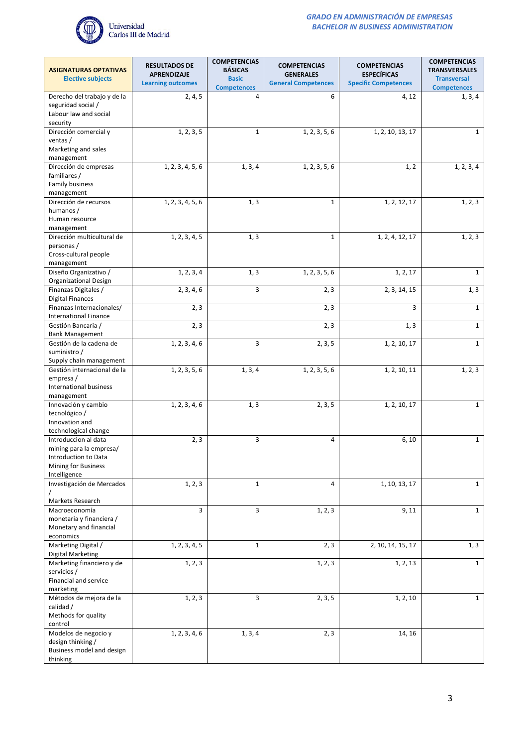

| <b>ASIGNATURAS OPTATIVAS</b>                       | <b>RESULTADOS DE</b><br>APRENDIZAJE | <b>COMPETENCIAS</b><br><b>BÁSICAS</b> | <b>COMPETENCIAS</b><br><b>GENERALES</b> | <b>COMPETENCIAS</b><br><b>ESPECÍFICAS</b> | <b>COMPETENCIAS</b><br><b>TRANSVERSALES</b> |
|----------------------------------------------------|-------------------------------------|---------------------------------------|-----------------------------------------|-------------------------------------------|---------------------------------------------|
| <b>Elective subjects</b>                           | <b>Learning outcomes</b>            | <b>Basic</b><br><b>Competences</b>    | <b>General Competences</b>              | <b>Specific Competences</b>               | <b>Transversal</b><br><b>Competences</b>    |
| Derecho del trabajo y de la                        | 2, 4, 5                             | 4                                     | 6                                       | 4, 12                                     | 1, 3, 4                                     |
| seguridad social /<br>Labour law and social        |                                     |                                       |                                         |                                           |                                             |
| security<br>Dirección comercial y                  | 1, 2, 3, 5                          | $\mathbf{1}$                          | 1, 2, 3, 5, 6                           | 1, 2, 10, 13, 17                          | $\mathbf{1}$                                |
| ventas /                                           |                                     |                                       |                                         |                                           |                                             |
| Marketing and sales<br>management                  |                                     |                                       |                                         |                                           |                                             |
| Dirección de empresas                              | 1, 2, 3, 4, 5, 6                    | 1, 3, 4                               | 1, 2, 3, 5, 6                           | 1, 2                                      | 1, 2, 3, 4                                  |
| familiares /<br>Family business                    |                                     |                                       |                                         |                                           |                                             |
| management                                         |                                     |                                       |                                         |                                           |                                             |
| Dirección de recursos<br>humanos /                 | 1, 2, 3, 4, 5, 6                    | 1, 3                                  | $\mathbf{1}$                            | 1, 2, 12, 17                              | 1, 2, 3                                     |
| Human resource                                     |                                     |                                       |                                         |                                           |                                             |
| management<br>Dirección multicultural de           | $\overline{1, 2, 3, 4, 5}$          | 1, 3                                  | $\mathbf{1}$                            | 1, 2, 4, 12, 17                           | 1, 2, 3                                     |
| personas /                                         |                                     |                                       |                                         |                                           |                                             |
| Cross-cultural people<br>management                |                                     |                                       |                                         |                                           |                                             |
| Diseño Organizativo /                              | 1, 2, 3, 4                          | 1, 3                                  | 1, 2, 3, 5, 6                           | 1, 2, 17                                  | $\mathbf{1}$                                |
| Organizational Design<br>Finanzas Digitales /      | 2, 3, 4, 6                          | 3                                     | 2, 3                                    | 2, 3, 14, 15                              | 1, 3                                        |
| <b>Digital Finances</b>                            |                                     |                                       |                                         |                                           |                                             |
| Finanzas Internacionales/<br>International Finance | 2, 3                                |                                       | 2, 3                                    | 3                                         | $\mathbf{1}$                                |
| Gestión Bancaria /                                 | 2, 3                                |                                       | 2, 3                                    | 1, 3                                      | $\mathbf{1}$                                |
| <b>Bank Management</b><br>Gestión de la cadena de  | 1, 2, 3, 4, 6                       | 3                                     | 2, 3, 5                                 | 1, 2, 10, 17                              | $\mathbf{1}$                                |
| suministro /<br>Supply chain management            |                                     |                                       |                                         |                                           |                                             |
| Gestión internacional de la                        | 1, 2, 3, 5, 6                       | 1, 3, 4                               | 1, 2, 3, 5, 6                           | 1, 2, 10, 11                              | 1, 2, 3                                     |
| empresa /<br>International business                |                                     |                                       |                                         |                                           |                                             |
| management                                         |                                     |                                       |                                         |                                           |                                             |
| Innovación y cambio<br>tecnológico /               | 1, 2, 3, 4, 6                       | 1, 3                                  | 2, 3, 5                                 | 1, 2, 10, 17                              | $\mathbf{1}$                                |
| Innovation and                                     |                                     |                                       |                                         |                                           |                                             |
| technological change<br>Introduccion al data       | 2, 3                                | 3                                     | 4                                       | 6, 10                                     | $\mathbf{1}$                                |
| mining para la empresa/                            |                                     |                                       |                                         |                                           |                                             |
| Introduction to Data<br>Mining for Business        |                                     |                                       |                                         |                                           |                                             |
| Intelligence<br>Investigación de Mercados          | 1, 2, 3                             | $\mathbf{1}$                          | 4                                       | 1, 10, 13, 17                             | $\mathbf{1}$                                |
|                                                    |                                     |                                       |                                         |                                           |                                             |
| Markets Research<br>Macroeconomía                  | 3                                   | 3                                     | 1, 2, 3                                 | 9, 11                                     | $\mathbf{1}$                                |
| monetaria y financiera /                           |                                     |                                       |                                         |                                           |                                             |
| Monetary and financial<br>economics                |                                     |                                       |                                         |                                           |                                             |
| Marketing Digital /<br>Digital Marketing           | 1, 2, 3, 4, 5                       | $\mathbf{1}$                          | 2, 3                                    | 2, 10, 14, 15, 17                         | 1, 3                                        |
| Marketing financiero y de                          | 1, 2, 3                             |                                       | 1, 2, 3                                 | 1, 2, 13                                  | $\mathbf{1}$                                |
| servicios /<br>Financial and service               |                                     |                                       |                                         |                                           |                                             |
| marketing                                          |                                     |                                       |                                         |                                           |                                             |
| Métodos de mejora de la<br>calidad /               | 1, 2, 3                             | 3                                     | 2, 3, 5                                 | 1, 2, 10                                  | $\mathbf{1}$                                |
| Methods for quality                                |                                     |                                       |                                         |                                           |                                             |
| control<br>Modelos de negocio y                    | 1, 2, 3, 4, 6                       | 1, 3, 4                               | 2, 3                                    | 14, 16                                    |                                             |
| design thinking /                                  |                                     |                                       |                                         |                                           |                                             |
| Business model and design<br>thinking              |                                     |                                       |                                         |                                           |                                             |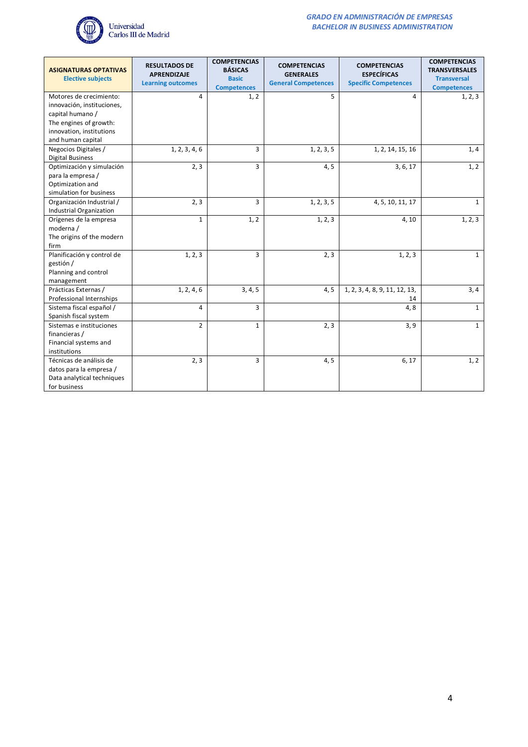

| <b>ASIGNATURAS OPTATIVAS</b><br><b>Elective subjects</b>                                            | <b>RESULTADOS DE</b><br><b>APRENDIZAJE</b><br><b>Learning outcomes</b> | <b>COMPETENCIAS</b><br><b>BÁSICAS</b><br><b>Basic</b><br><b>Competences</b> | <b>COMPETENCIAS</b><br><b>GENERALES</b><br><b>General Competences</b> | <b>COMPETENCIAS</b><br><b>ESPECÍFICAS</b><br><b>Specific Competences</b> | <b>COMPETENCIAS</b><br><b>TRANSVERSALES</b><br><b>Transversal</b><br><b>Competences</b> |
|-----------------------------------------------------------------------------------------------------|------------------------------------------------------------------------|-----------------------------------------------------------------------------|-----------------------------------------------------------------------|--------------------------------------------------------------------------|-----------------------------------------------------------------------------------------|
| Motores de crecimiento:<br>innovación, instituciones,<br>capital humano /<br>The engines of growth: | 4                                                                      | 1, 2                                                                        | 5                                                                     | 4                                                                        | 1, 2, 3                                                                                 |
| innovation, institutions<br>and human capital                                                       |                                                                        |                                                                             |                                                                       |                                                                          |                                                                                         |
| Negocios Digitales /<br><b>Digital Business</b>                                                     | 1, 2, 3, 4, 6                                                          | 3                                                                           | 1, 2, 3, 5                                                            | 1, 2, 14, 15, 16                                                         | 1, 4                                                                                    |
| Optimización y simulación<br>para la empresa /<br>Optimization and<br>simulation for business       | 2, 3                                                                   | 3                                                                           | 4, 5                                                                  | 3, 6, 17                                                                 | 1, 2                                                                                    |
| Organización Industrial /<br><b>Industrial Organization</b>                                         | 2, 3                                                                   | 3                                                                           | 1, 2, 3, 5                                                            | 4, 5, 10, 11, 17                                                         | $\mathbf{1}$                                                                            |
| Orígenes de la empresa<br>moderna /<br>The origins of the modern<br>firm                            | $\mathbf{1}$                                                           | 1, 2                                                                        | 1, 2, 3                                                               | 4,10                                                                     | 1, 2, 3                                                                                 |
| Planificación y control de<br>gestión /<br>Planning and control<br>management                       | 1, 2, 3                                                                | 3                                                                           | 2, 3                                                                  | 1, 2, 3                                                                  | $\mathbf{1}$                                                                            |
| Prácticas Externas /<br>Professional Internships                                                    | 1, 2, 4, 6                                                             | 3, 4, 5                                                                     | 4, 5                                                                  | 1, 2, 3, 4, 8, 9, 11, 12, 13,<br>14                                      | 3,4                                                                                     |
| Sistema fiscal español /<br>Spanish fiscal system                                                   | 4                                                                      | 3                                                                           |                                                                       | 4,8                                                                      | $\mathbf{1}$                                                                            |
| Sistemas e instituciones<br>financieras /<br>Financial systems and<br>institutions                  | $\overline{2}$                                                         | $\mathbf{1}$                                                                | 2, 3                                                                  | 3, 9                                                                     | $\mathbf{1}$                                                                            |
| Técnicas de análisis de<br>datos para la empresa /<br>Data analytical techniques<br>for business    | 2, 3                                                                   | 3                                                                           | 4, 5                                                                  | 6, 17                                                                    | 1, 2                                                                                    |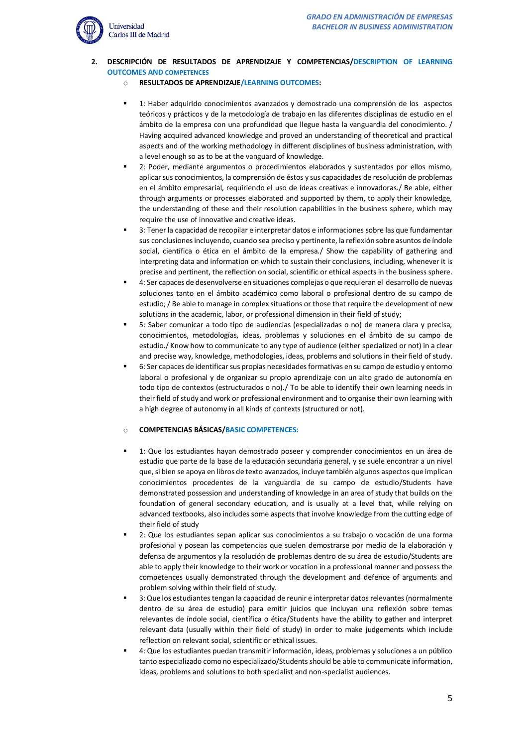

#### **2. DESCRIPCIÓN DE RESULTADOS DE APRENDIZAJE Y COMPETENCIAS/DESCRIPTION OF LEARNING OUTCOMES AND COMPETENCES**

- o **RESULTADOS DE APRENDIZAJE/LEARNING OUTCOMES:**
- 1: Haber adquirido conocimientos avanzados y demostrado una comprensión de los aspectos teóricos y prácticos y de la metodología de trabajo en las diferentes disciplinas de estudio en el ámbito de la empresa con una profundidad que llegue hasta la vanguardia del conocimiento. / Having acquired advanced knowledge and proved an understanding of theoretical and practical aspects and of the working methodology in different disciplines of business administration, with a level enough so as to be at the vanguard of knowledge.
- 2: Poder, mediante argumentos o procedimientos elaborados y sustentados por ellos mismo, aplicar sus conocimientos, la comprensión de éstos y sus capacidades de resolución de problemas en el ámbito empresarial, requiriendo el uso de ideas creativas e innovadoras./ Be able, either through arguments or processes elaborated and supported by them, to apply their knowledge, the understanding of these and their resolution capabilities in the business sphere, which may require the use of innovative and creative ideas.
- 3: Tener la capacidad de recopilar e interpretar datos e informaciones sobre las que fundamentar sus conclusiones incluyendo, cuando sea preciso y pertinente, la reflexión sobre asuntos de índole social, científica o ética en el ámbito de la empresa./ Show the capability of gathering and interpreting data and information on which to sustain their conclusions, including, whenever it is precise and pertinent, the reflection on social, scientific or ethical aspects in the business sphere.
- 4: Ser capaces de desenvolverse en situaciones complejas o que requieran el desarrollo de nuevas soluciones tanto en el ámbito académico como laboral o profesional dentro de su campo de estudio; / Be able to manage in complex situations or those that require the development of new solutions in the academic, labor, or professional dimension in their field of study;
- 5: Saber comunicar a todo tipo de audiencias (especializadas o no) de manera clara y precisa, conocimientos, metodologías, ideas, problemas y soluciones en el ámbito de su campo de estudio./ Know how to communicate to any type of audience (either specialized or not) in a clear and precise way, knowledge, methodologies, ideas, problems and solutions in their field of study.
- 6: Ser capaces de identificar sus propias necesidades formativas en su campo de estudio y entorno laboral o profesional y de organizar su propio aprendizaje con un alto grado de autonomía en todo tipo de contextos (estructurados o no)./ To be able to identify their own learning needs in their field of study and work or professional environment and to organise their own learning with a high degree of autonomy in all kinds of contexts (structured or not).

# o **COMPETENCIAS BÁSICAS/BASIC COMPETENCES:**

- 1: Que los estudiantes hayan demostrado poseer y comprender conocimientos en un área de estudio que parte de la base de la educación secundaria general, y se suele encontrar a un nivel que, si bien se apoya en libros de texto avanzados, incluye también algunos aspectos que implican conocimientos procedentes de la vanguardia de su campo de estudio/Students have demonstrated possession and understanding of knowledge in an area of study that builds on the foundation of general secondary education, and is usually at a level that, while relying on advanced textbooks, also includes some aspects that involve knowledge from the cutting edge of their field of study
- 2: Que los estudiantes sepan aplicar sus conocimientos a su trabajo o vocación de una forma profesional y posean las competencias que suelen demostrarse por medio de la elaboración y defensa de argumentos y la resolución de problemas dentro de su área de estudio/Students are able to apply their knowledge to their work or vocation in a professional manner and possess the competences usually demonstrated through the development and defence of arguments and problem solving within their field of study.
- 3: Que los estudiantes tengan la capacidad de reunir e interpretar datos relevantes (normalmente dentro de su área de estudio) para emitir juicios que incluyan una reflexión sobre temas relevantes de índole social, científica o ética/Students have the ability to gather and interpret relevant data (usually within their field of study) in order to make judgements which include reflection on relevant social, scientific or ethical issues.
- 4: Que los estudiantes puedan transmitir información, ideas, problemas y soluciones a un público tanto especializado como no especializado/Students should be able to communicate information, ideas, problems and solutions to both specialist and non-specialist audiences.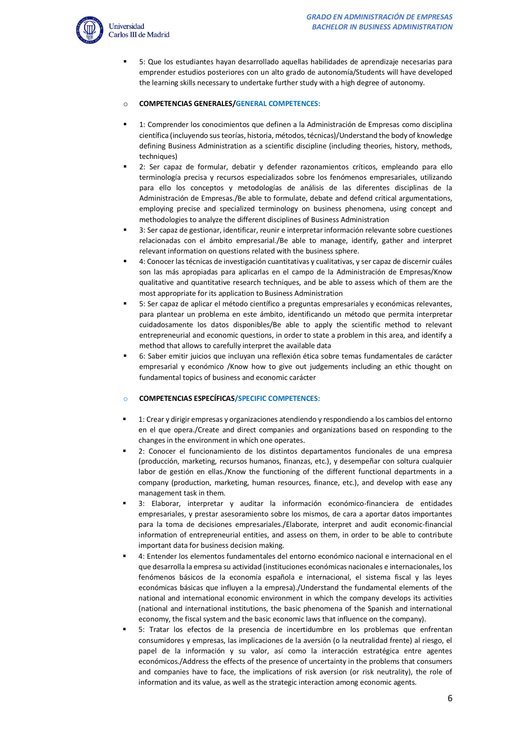

▪ 5: Que los estudiantes hayan desarrollado aquellas habilidades de aprendizaje necesarias para emprender estudios posteriores con un alto grado de autonomía/Students will have developed the learning skills necessary to undertake further study with a high degree of autonomy.

### o **COMPETENCIAS GENERALES/GENERAL COMPETENCES:**

- 1: Comprender los conocimientos que definen a la Administración de Empresas como disciplina científica (incluyendo sus teorías, historia, métodos, técnicas)/Understand the body of knowledge defining Business Administration as a scientific discipline (including theories, history, methods, techniques)
- 2: Ser capaz de formular, debatir y defender razonamientos críticos, empleando para ello terminología precisa y recursos especializados sobre los fenómenos empresariales, utilizando para ello los conceptos y metodologías de análisis de las diferentes disciplinas de la Administración de Empresas./Be able to formulate, debate and defend critical argumentations, employing precise and specialized terminology on business phenomena, using concept and methodologies to analyze the different disciplines of Business Administration
- 3: Ser capaz de gestionar, identificar, reunir e interpretar información relevante sobre cuestiones relacionadas con el ámbito empresarial./Be able to manage, identify, gather and interpret relevant information on questions related with the business sphere.
- 4: Conocer lastécnicas de investigación cuantitativas y cualitativas, y ser capaz de discernir cuáles son las más apropiadas para aplicarlas en el campo de la Administración de Empresas/Know qualitative and quantitative research techniques, and be able to assess which of them are the most appropriate for its application to Business Administration
- 5: Ser capaz de aplicar el método científico a preguntas empresariales y económicas relevantes, para plantear un problema en este ámbito, identificando un método que permita interpretar cuidadosamente los datos disponibles/Be able to apply the scientific method to relevant entrepreneurial and economic questions, in order to state a problem in this area, and identify a method that allows to carefully interpret the available data
- 6: Saber emitir juicios que incluvan una reflexión ética sobre temas fundamentales de carácter empresarial y económico /Know how to give out judgements including an ethic thought on fundamental topics of business and economic carácter

#### o **COMPETENCIAS ESPECÍFICAS/SPECIFIC COMPETENCES:**

- 1: Crear y dirigir empresas y organizaciones atendiendo y respondiendo a los cambios del entorno en el que opera./Create and direct companies and organizations based on responding to the changes in the environment in which one operates.
- 2: Conocer el funcionamiento de los distintos departamentos funcionales de una empresa (producción, marketing, recursos humanos, finanzas, etc.), y desempeñar con soltura cualquier labor de gestión en ellas./Know the functioning of the different functional departments in a company (production, marketing, human resources, finance, etc.), and develop with ease any management task in them.
- 3: Elaborar, interpretar y auditar la información económico-financiera de entidades empresariales, y prestar asesoramiento sobre los mismos, de cara a aportar datos importantes para la toma de decisiones empresariales./Elaborate, interpret and audit economic-financial information of entrepreneurial entities, and assess on them, in order to be able to contribute important data for business decision making.
- 4: Entender los elementos fundamentales del entorno económico nacional e internacional en el que desarrolla la empresa su actividad (instituciones económicas nacionales e internacionales, los fenómenos básicos de la economía española e internacional, el sistema fiscal y las leyes económicas básicas que influyen a la empresa)./Understand the fundamental elements of the national and international economic environment in which the company develops its activities (national and international institutions, the basic phenomena of the Spanish and international economy, the fiscal system and the basic economic laws that influence on the company).
- 5: Tratar los efectos de la presencia de incertidumbre en los problemas que enfrentan consumidores y empresas, las implicaciones de la aversión (o la neutralidad frente) al riesgo, el papel de la información y su valor, así como la interacción estratégica entre agentes económicos./Address the effects of the presence of uncertainty in the problems that consumers and companies have to face, the implications of risk aversion (or risk neutrality), the role of information and its value, as well as the strategic interaction among economic agents.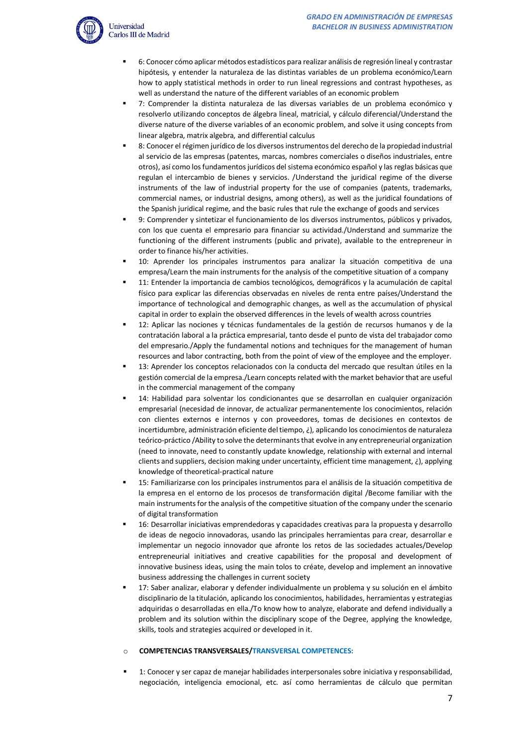

- 6: Conocer cómo aplicar métodos estadísticos para realizar análisis de regresión lineal y contrastar hipótesis, y entender la naturaleza de las distintas variables de un problema económico/Learn how to apply statistical methods in order to run lineal regressions and contrast hypotheses, as well as understand the nature of the different variables of an economic problem
- 7: Comprender la distinta naturaleza de las diversas variables de un problema económico y resolverlo utilizando conceptos de álgebra lineal, matricial, y cálculo diferencial/Understand the diverse nature of the diverse variables of an economic problem, and solve it using concepts from linear algebra, matrix algebra, and differential calculus
- 8: Conocer el régimen jurídico de los diversos instrumentos del derecho de la propiedad industrial al servicio de las empresas (patentes, marcas, nombres comerciales o diseños industriales, entre otros), así como los fundamentos jurídicos del sistema económico español y las reglas básicas que regulan el intercambio de bienes y servicios. /Understand the juridical regime of the diverse instruments of the law of industrial property for the use of companies (patents, trademarks, commercial names, or industrial designs, among others), as well as the juridical foundations of the Spanish juridical regime, and the basic rules that rule the exchange of goods and services
- 9: Comprender y sintetizar el funcionamiento de los diversos instrumentos, públicos y privados, con los que cuenta el empresario para financiar su actividad./Understand and summarize the functioning of the different instruments (public and private), available to the entrepreneur in order to finance his/her activities.
- 10: Aprender los principales instrumentos para analizar la situación competitiva de una empresa/Learn the main instruments for the analysis of the competitive situation of a company
- 11: Entender la importancia de cambios tecnológicos, demográficos y la acumulación de capital físico para explicar las diferencias observadas en niveles de renta entre países/Understand the importance of technological and demographic changes, as well as the accumulation of physical capital in order to explain the observed differences in the levels of wealth across countries
- 12: Aplicar las nociones y técnicas fundamentales de la gestión de recursos humanos y de la contratación laboral a la práctica empresarial, tanto desde el punto de vista del trabajador como del empresario./Apply the fundamental notions and techniques for the management of human resources and labor contracting, both from the point of view of the employee and the employer.
- 13: Aprender los conceptos relacionados con la conducta del mercado que resultan útiles en la gestión comercial de la empresa./Learn concepts related with the market behavior that are useful in the commercial management of the company
- 14: Habilidad para solventar los condicionantes que se desarrollan en cualquier organización empresarial (necesidad de innovar, de actualizar permanentemente los conocimientos, relación con clientes externos e internos y con proveedores, tomas de decisiones en contextos de incertidumbre, administración eficiente del tiempo, ¿), aplicando los conocimientos de naturaleza teórico-práctico /Ability to solve the determinants that evolve in any entrepreneurial organization (need to innovate, need to constantly update knowledge, relationship with external and internal clients and suppliers, decision making under uncertainty, efficient time management, ¿), applying knowledge of theoretical-practical nature
- 15: Familiarizarse con los principales instrumentos para el análisis de la situación competitiva de la empresa en el entorno de los procesos de transformación digital /Become familiar with the main instruments for the analysis of the competitive situation of the company under the scenario of digital transformation
- 16: Desarrollar iniciativas emprendedoras y capacidades creativas para la propuesta y desarrollo de ideas de negocio innovadoras, usando las principales herramientas para crear, desarrollar e implementar un negocio innovador que afronte los retos de las sociedades actuales/Develop entrepreneurial initiatives and creative capabilities for the proposal and development of innovative business ideas, using the main tolos to créate, develop and implement an innovative business addressing the challenges in current society
- 17: Saber analizar, elaborar y defender individualmente un problema y su solución en el ámbito disciplinario de la titulación, aplicando los conocimientos, habilidades, herramientas y estrategias adquiridas o desarrolladas en ella./To know how to analyze, elaborate and defend individually a problem and its solution within the disciplinary scope of the Degree, applying the knowledge, skills, tools and strategies acquired or developed in it.

# o **COMPETENCIAS TRANSVERSALES/TRANSVERSAL COMPETENCES:**

1: Conocer y ser capaz de manejar habilidades interpersonales sobre iniciativa y responsabilidad, negociación, inteligencia emocional, etc. así como herramientas de cálculo que permitan